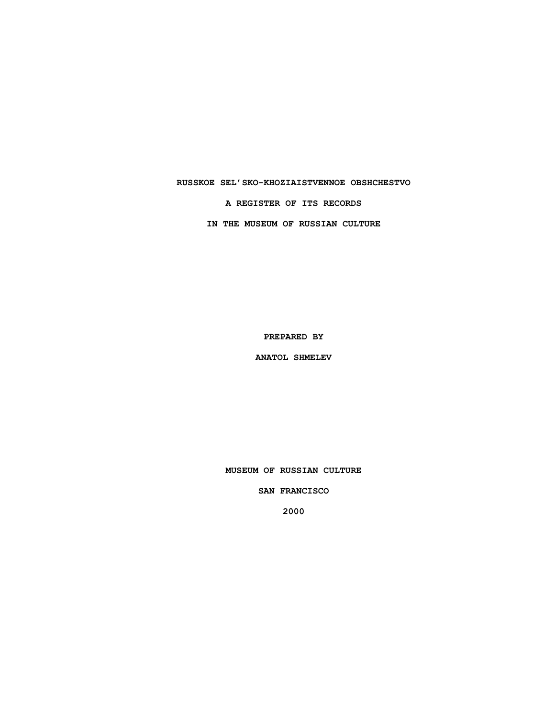### **RUSSKOE SEL'SKO-KHOZIAISTVENNOE OBSHCHESTVO**

**A REGISTER OF ITS RECORDS**

**IN THE MUSEUM OF RUSSIAN CULTURE**

**PREPARED BY**

**ANATOL SHMELEV**

**MUSEUM OF RUSSIAN CULTURE**

**SAN FRANCISCO**

**2000**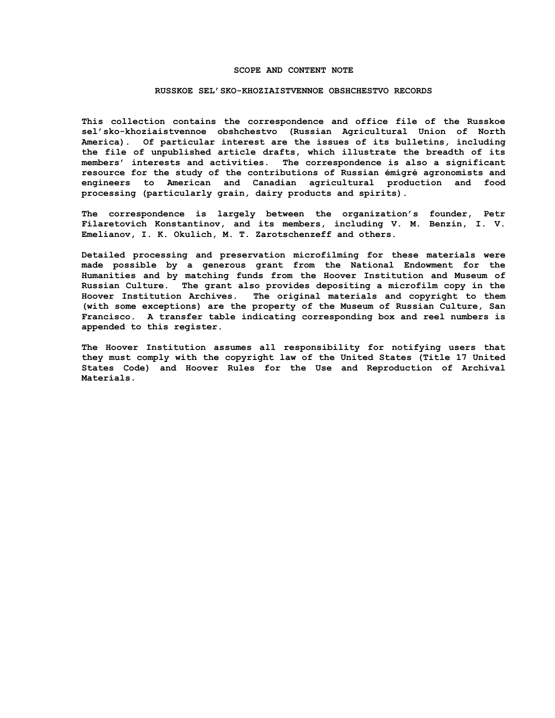#### **SCOPE AND CONTENT NOTE**

#### **RUSSKOE SEL'SKO-KHOZIAISTVENNOE OBSHCHESTVO RECORDS**

**This collection contains the correspondence and office file of the Russkoe sel'sko-khoziaistvennoe obshchestvo (Russian Agricultural Union of North America). Of particular interest are the issues of its bulletins, including the file of unpublished article drafts, which illustrate the breadth of its members' interests and activities. The correspondence is also a significant resource for the study of the contributions of Russian émigré agronomists and engineers to American and Canadian agricultural production and food processing (particularly grain, dairy products and spirits).**

**The correspondence is largely between the organization's founder, Petr Filaretovich Konstantinov, and its members, including V. M. Benzin, I. V. Emelianov, I. K. Okulich, M. T. Zarotschenzeff and others.**

**Detailed processing and preservation microfilming for these materials were made possible by a generous grant from the National Endowment for the Humanities and by matching funds from the Hoover Institution and Museum of Russian Culture. The grant also provides depositing a microfilm copy in the Hoover Institution Archives. The original materials and copyright to them (with some exceptions) are the property of the Museum of Russian Culture, San Francisco. A transfer table indicating corresponding box and reel numbers is appended to this register.**

**The Hoover Institution assumes all responsibility for notifying users that they must comply with the copyright law of the United States (Title 17 United States Code) and Hoover Rules for the Use and Reproduction of Archival Materials.**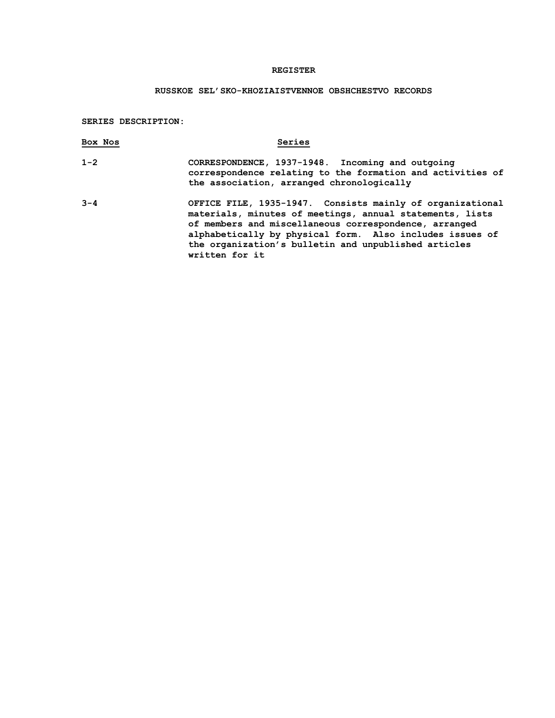## **REGISTER**

# **RUSSKOE SEL'SKO-KHOZIAISTVENNOE OBSHCHESTVO RECORDS**

**SERIES DESCRIPTION:**

| Box Nos | Series                                                                                                                                                                                                                                                                                                               |
|---------|----------------------------------------------------------------------------------------------------------------------------------------------------------------------------------------------------------------------------------------------------------------------------------------------------------------------|
| $1 - 2$ | CORRESPONDENCE, 1937-1948. Incoming and outgoing<br>correspondence relating to the formation and activities of<br>the association, arranged chronologically                                                                                                                                                          |
| $3 - 4$ | OFFICE FILE, 1935-1947. Consists mainly of organizational<br>materials, minutes of meetings, annual statements, lists<br>of members and miscellaneous correspondence, arranged<br>alphabetically by physical form. Also includes issues of<br>the organization's bulletin and unpublished articles<br>written for it |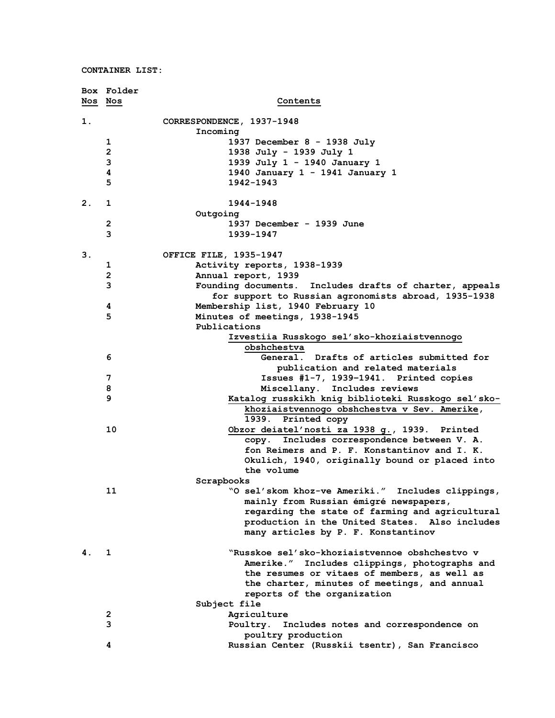| Nos Nos | Box Folder              | Contents                                                                                  |
|---------|-------------------------|-------------------------------------------------------------------------------------------|
| 1.      |                         | CORRESPONDENCE, 1937-1948                                                                 |
|         |                         | Incoming                                                                                  |
|         | 1                       | 1937 December 8 - 1938 July                                                               |
|         | $\overline{\mathbf{c}}$ | 1938 July - 1939 July 1                                                                   |
|         | 3                       | 1939 July 1 - 1940 January 1                                                              |
|         | 4                       | 1940 January 1 - 1941 January 1                                                           |
|         | 5                       | 1942-1943                                                                                 |
| 2.      | 1                       | 1944-1948                                                                                 |
|         |                         | Outgoing                                                                                  |
|         | 2                       | 1937 December - 1939 June                                                                 |
|         | 3                       | 1939-1947                                                                                 |
| 3.      |                         | OFFICE FILE, 1935-1947                                                                    |
|         | 1                       | Activity reports, 1938-1939                                                               |
|         | $\overline{\mathbf{c}}$ | Annual report, 1939                                                                       |
|         | 3                       | Founding documents. Includes drafts of charter, appeals                                   |
|         | 4                       | for support to Russian agronomists abroad, 1935-1938<br>Membership list, 1940 February 10 |
|         | 5                       | Minutes of meetings, 1938-1945                                                            |
|         |                         | Publications                                                                              |
|         |                         | Izvestiia Russkogo sel'sko-khoziaistvennogo                                               |
|         |                         | obshchestva                                                                               |
|         | 6                       | General. Drafts of articles submitted for                                                 |
|         |                         | publication and related materials                                                         |
|         | 7                       | Issues #1-7, 1939-1941. Printed copies                                                    |
|         | 8                       | Miscellany. Includes reviews                                                              |
|         | 9                       | Katalog russkikh knig biblioteki Russkogo sel'sko-                                        |
|         |                         | khoziaistvennogo obshchestva v Sev. Amerike,                                              |
|         |                         | 1939. Printed copy                                                                        |
|         | 10                      | Obzor deiatel'nosti za 1938 g., 1939. Printed                                             |
|         |                         | Includes correspondence between V. A.<br>сору.                                            |
|         |                         | fon Reimers and P. F. Konstantinov and I. K.                                              |
|         |                         | Okulich, 1940, originally bound or placed into                                            |
|         |                         | the volume                                                                                |
|         |                         | Scrapbooks<br>"O sel'skom khoz-ve Ameriki." Includes clippings,                           |
|         | 11                      | mainly from Russian émigré newspapers,                                                    |
|         |                         | regarding the state of farming and agricultural                                           |
|         |                         | production in the United States. Also includes                                            |
|         |                         | many articles by P. F. Konstantinov                                                       |
| 4.      | 1                       | "Russkoe sel'sko-khoziaistvennoe obshchestvo v                                            |
|         |                         | Amerike." Includes clippings, photographs and                                             |
|         |                         | the resumes or vitaes of members, as well as                                              |
|         |                         | the charter, minutes of meetings, and annual                                              |
|         |                         | reports of the organization                                                               |
|         |                         | Subject file                                                                              |
|         | 2                       | Agriculture                                                                               |
|         | 3                       | Poultry. Includes notes and correspondence on                                             |
|         | 4                       | poultry production<br>Russian Center (Russkii tsentr), San Francisco                      |
|         |                         |                                                                                           |